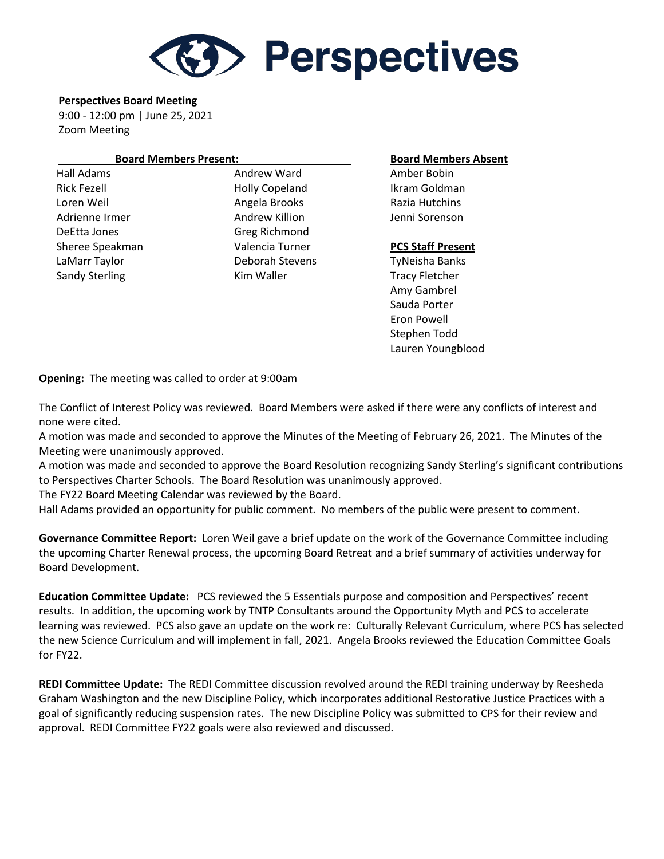

**Perspectives Board Meeting**

9:00 - 12:00 pm | June 25, 2021 Zoom Meeting

## **Board Members Present: Board Members Absent**

Hall Adams **Andrew Ward Amber Bobin** Amber Bobin Rick Fezell **Example 20** Holly Copeland Ikram Goldman Loren Weil **Angela Brooks** Razia Hutchins Adrienne Irmer Theorem Andrew Killion Theorem Jenni Sorenson DeEtta Jones Greg Richmond Sheree Speakman Valencia Turner **PCS Staff Present**  LaMarr Taylor Deborah Stevens TyNeisha Banks Sandy Sterling Tracy Fletcher Kim Waller Tracy Fletcher

 Amy Gambrel Sauda Porter Eron Powell Stephen Todd Lauren Youngblood

**Opening:** The meeting was called to order at 9:00am

The Conflict of Interest Policy was reviewed. Board Members were asked if there were any conflicts of interest and none were cited.

A motion was made and seconded to approve the Minutes of the Meeting of February 26, 2021. The Minutes of the Meeting were unanimously approved.

A motion was made and seconded to approve the Board Resolution recognizing Sandy Sterling's significant contributions to Perspectives Charter Schools. The Board Resolution was unanimously approved.

The FY22 Board Meeting Calendar was reviewed by the Board.

Hall Adams provided an opportunity for public comment. No members of the public were present to comment.

**Governance Committee Report:** Loren Weil gave a brief update on the work of the Governance Committee including the upcoming Charter Renewal process, the upcoming Board Retreat and a brief summary of activities underway for Board Development.

**Education Committee Update:** PCS reviewed the 5 Essentials purpose and composition and Perspectives' recent results. In addition, the upcoming work by TNTP Consultants around the Opportunity Myth and PCS to accelerate learning was reviewed. PCS also gave an update on the work re: Culturally Relevant Curriculum, where PCS has selected the new Science Curriculum and will implement in fall, 2021. Angela Brooks reviewed the Education Committee Goals for FY22.

**REDI Committee Update:** The REDI Committee discussion revolved around the REDI training underway by Reesheda Graham Washington and the new Discipline Policy, which incorporates additional Restorative Justice Practices with a goal of significantly reducing suspension rates. The new Discipline Policy was submitted to CPS for their review and approval. REDI Committee FY22 goals were also reviewed and discussed.